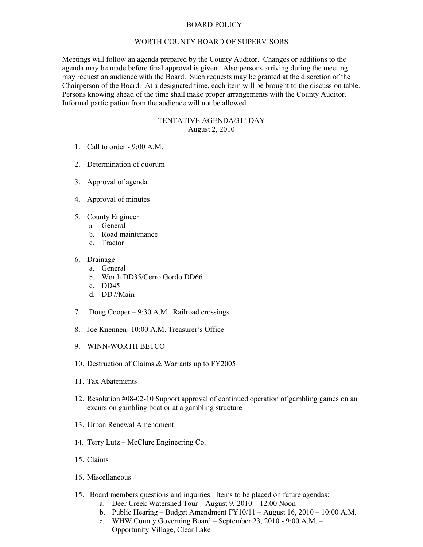## BOARD POLICY

## WORTH COUNTY BOARD OF SUPERVISORS

Meetings will follow an agenda prepared by the County Auditor. Changes or additions to the agenda may be made before final approval is given. Also persons arriving during the meeting may request an audience with the Board. Such requests may be granted at the discretion of the Chairperson of the Board. At a designated time, each item will be brought to the discussion table. Persons knowing ahead of the time shall make proper arrangements with the County Auditor. Informal participation from the audience will not be allowed.

## TENTATIVE AGENDA/31<sup>st</sup> DAY August 2, 2010

- 1. Call to order 9:00 A.M.
- 2. Determination of quorum
- 3. Approval of agenda
- 4. Approval of minutes
- 5. County Engineer
	- a. General
		- b. Road maintenance
		- c. Tractor
- 6. Drainage
	- a. General
	- b. Worth DD35/Cerro Gordo DD66
	- c. DD45
	- d. DD7/Main
- 7. Doug Cooper 9:30 A.M. Railroad crossings
- 8. Joe Kuennen- 10:00 A.M. Treasurer's Office
- 9. WINN-WORTH BETCO
- 10. Destruction of Claims & Warrants up to FY2005
- 11. Tax Abatements
- 12. Resolution #08-02-10 Support approval of continued operation of gambling games on an excursion gambling boat or at a gambling structure
- 13. Urban Renewal Amendment
- 14. Terry Lutz McClure Engineering Co.
- 15. Claims
- 16. Miscellaneous
- 15. Board members questions and inquiries. Items to be placed on future agendas:
	- a. Deer Creek Watershed Tour August 9, 2010 12:00 Noon
	- b. Public Hearing Budget Amendment FY10/11 August 16, 2010 10:00 A.M.
	- c. WHW County Governing Board September 23, 2010 9:00 A.M. Opportunity Village, Clear Lake